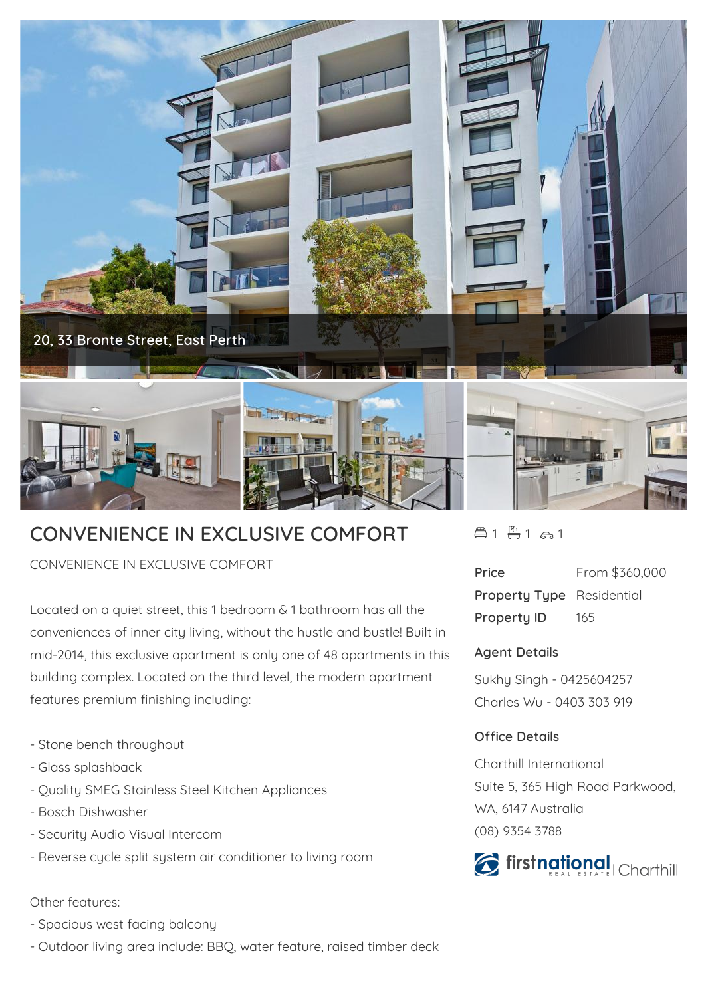

## **CONVENIENCE IN EXCLUSIVE COMFORT**

CONVENIENCE IN EXCLUSIVE COMFORT

Located on a quiet street, this 1 bedroom & 1 bathroom has all the conveniences of inner city living, without the hustle and bustle! Built in mid-2014, this exclusive apartment is only one of 48 apartments in this building complex. Located on the third level, the modern apartment features premium finishing including:

- Stone bench throughout
- Glass splashback
- Quality SMEG Stainless Steel Kitchen Appliances
- Bosch Dishwasher
- Security Audio Visual Intercom
- Reverse cycle split system air conditioner to living room

## Other features:

- Spacious west facing balcony
- Outdoor living area include: BBQ, water feature, raised timber deck

 $41 - 1$   $21$   $21$ 

| Price                            | From \$360,000 |
|----------------------------------|----------------|
| <b>Property Type</b> Residential |                |
| <b>Property ID</b>               | 165            |

## **Agent Details**

Sukhy Singh - 0425604257 Charles Wu - 0403 303 919

## **Office Details**

Charthill International Suite 5, 365 High Road Parkwood, WA, 6147 Australia (08) 9354 3788